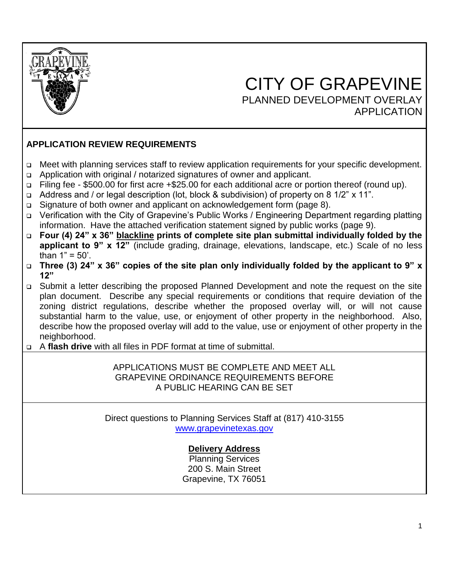

# $\overline{\phantom{a}}$  CITY OF GRAPEVINE PLANNED DEVELOPMENT OVERLAY APPLICATION

# **APPLICATION REVIEW REQUIREMENTS**

- ❑ Meet with planning services staff to review application requirements for your specific development.
- ❑ Application with original / notarized signatures of owner and applicant.
- ❑ Filing fee \$500.00 for first acre +\$25.00 for each additional acre or portion thereof (round up).
- ❑ Address and / or legal description (lot, block & subdivision) of property on 8 1/2" x 11".
- ❑ Signature of both owner and applicant on acknowledgement form (page 8).
- ❑ Verification with the City of Grapevine's Public Works / Engineering Department regarding platting information. Have the attached verification statement signed by public works (page 9).
- ❑ **Four (4) 24" x 36" blackline prints of complete site plan submittal individually folded by the applicant to 9" x 12"** (include grading, drainage, elevations, landscape, etc.) Scale of no less than  $1" = 50'$ .
- ❑ **Three (3) 24" x 36" copies of the site plan only individually folded by the applicant to 9" x 12"**
- ❑ Submit a letter describing the proposed Planned Development and note the request on the site plan document. Describe any special requirements or conditions that require deviation of the zoning district regulations, describe whether the proposed overlay will, or will not cause substantial harm to the value, use, or enjoyment of other property in the neighborhood. Also, describe how the proposed overlay will add to the value, use or enjoyment of other property in the neighborhood.
- ❑ A **flash drive** with all files in PDF format at time of submittal.

#### APPLICATIONS MUST BE COMPLETE AND MEET ALL GRAPEVINE ORDINANCE REQUIREMENTS BEFORE A PUBLIC HEARING CAN BE SET

Direct questions to Planning Services Staff at (817) 410-3155 [www.grapevinetexas.gov](http://www.grapevine.tx.us/)

## **Delivery Address**

Planning Services 200 S. Main Street Grapevine, TX 76051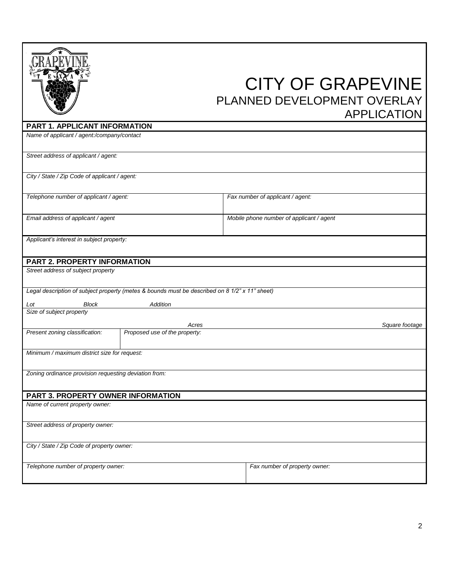|                                                       |                                                                                                            | <b>CITY OF GRAPEVINE</b><br>PLANNED DEVELOPMENT OVERLAY |                |
|-------------------------------------------------------|------------------------------------------------------------------------------------------------------------|---------------------------------------------------------|----------------|
| PART 1. APPLICANT INFORMATION                         |                                                                                                            | <b>APPLICATION</b>                                      |                |
| Name of applicant / agent:/company/contact            |                                                                                                            |                                                         |                |
| Street address of applicant / agent:                  |                                                                                                            |                                                         |                |
| City / State / Zip Code of applicant / agent:         |                                                                                                            |                                                         |                |
| Telephone number of applicant / agent:                |                                                                                                            | Fax number of applicant / agent:                        |                |
| Email address of applicant / agent                    |                                                                                                            | Mobile phone number of applicant / agent                |                |
| Applicant's interest in subject property:             |                                                                                                            |                                                         |                |
| PART 2. PROPERTY INFORMATION                          |                                                                                                            |                                                         |                |
| Street address of subject property                    |                                                                                                            |                                                         |                |
| Block<br>Lot                                          | Legal description of subject property (metes & bounds must be described on 8 1/2" x 11" sheet)<br>Addition |                                                         |                |
| Size of subject property                              |                                                                                                            |                                                         |                |
| Present zoning classification:                        | Acres<br>Proposed use of the property:                                                                     |                                                         | Square footage |
| Minimum / maximum district size for request:          |                                                                                                            |                                                         |                |
| Zoning ordinance provision requesting deviation from: |                                                                                                            |                                                         |                |
| PART 3. PROPERTY OWNER INFORMATION                    |                                                                                                            |                                                         |                |
| Name of current property owner:                       |                                                                                                            |                                                         |                |
| Street address of property owner:                     |                                                                                                            |                                                         |                |
| City / State / Zip Code of property owner:            |                                                                                                            |                                                         |                |
| Telephone number of property owner:                   |                                                                                                            | Fax number of property owner:                           |                |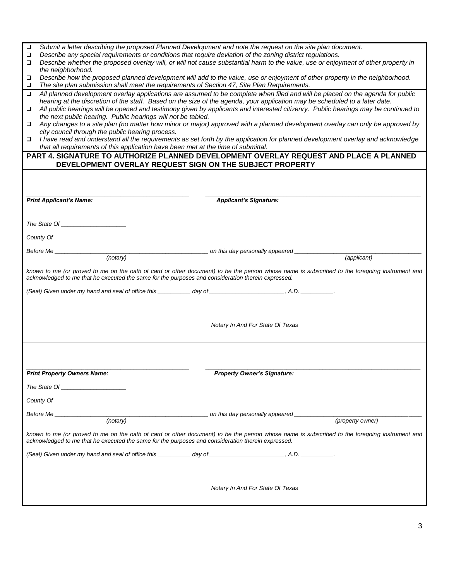| ❏                                                                                                                                                                                                                                                               | Submit a letter describing the proposed Planned Development and note the request on the site plan document.                                   |  |  |  |  |
|-----------------------------------------------------------------------------------------------------------------------------------------------------------------------------------------------------------------------------------------------------------------|-----------------------------------------------------------------------------------------------------------------------------------------------|--|--|--|--|
| Describe any special requirements or conditions that require deviation of the zoning district regulations.<br>❏<br>Describe whether the proposed overlay will, or will not cause substantial harm to the value, use or enjoyment of other property in<br>$\Box$ |                                                                                                                                               |  |  |  |  |
| the neighborhood.                                                                                                                                                                                                                                               |                                                                                                                                               |  |  |  |  |
| □                                                                                                                                                                                                                                                               | Describe how the proposed planned development will add to the value, use or enjoyment of other property in the neighborhood.                  |  |  |  |  |
| The site plan submission shall meet the requirements of Section 47, Site Plan Requirements.<br>$\Box$<br>$\Box$                                                                                                                                                 | All planned development overlay applications are assumed to be complete when filed and will be placed on the agenda for public                |  |  |  |  |
|                                                                                                                                                                                                                                                                 | hearing at the discretion of the staff. Based on the size of the agenda, your application may be scheduled to a later date.                   |  |  |  |  |
| $\Box$                                                                                                                                                                                                                                                          | All public hearings will be opened and testimony given by applicants and interested citizenry. Public hearings may be continued to            |  |  |  |  |
| the next public hearing. Public hearings will not be tabled.<br>$\Box$                                                                                                                                                                                          | Any changes to a site plan (no matter how minor or major) approved with a planned development overlay can only be approved by                 |  |  |  |  |
| city council through the public hearing process.                                                                                                                                                                                                                |                                                                                                                                               |  |  |  |  |
| $\Box$                                                                                                                                                                                                                                                          | I have read and understand all the requirements as set forth by the application for planned development overlay and acknowledge               |  |  |  |  |
| that all requirements of this application have been met at the time of submittal.                                                                                                                                                                               |                                                                                                                                               |  |  |  |  |
|                                                                                                                                                                                                                                                                 | PART 4. SIGNATURE TO AUTHORIZE PLANNED DEVELOPMENT OVERLAY REQUEST AND PLACE A PLANNED                                                        |  |  |  |  |
| DEVELOPMENT OVERLAY REQUEST SIGN ON THE SUBJECT PROPERTY                                                                                                                                                                                                        |                                                                                                                                               |  |  |  |  |
|                                                                                                                                                                                                                                                                 |                                                                                                                                               |  |  |  |  |
|                                                                                                                                                                                                                                                                 |                                                                                                                                               |  |  |  |  |
| <b>Print Applicant's Name:</b>                                                                                                                                                                                                                                  | <b>Applicant's Signature:</b>                                                                                                                 |  |  |  |  |
|                                                                                                                                                                                                                                                                 |                                                                                                                                               |  |  |  |  |
|                                                                                                                                                                                                                                                                 |                                                                                                                                               |  |  |  |  |
|                                                                                                                                                                                                                                                                 |                                                                                                                                               |  |  |  |  |
|                                                                                                                                                                                                                                                                 |                                                                                                                                               |  |  |  |  |
|                                                                                                                                                                                                                                                                 | Before Me (notary) and this day personally appeared (applicant) (applicant)                                                                   |  |  |  |  |
|                                                                                                                                                                                                                                                                 |                                                                                                                                               |  |  |  |  |
| acknowledged to me that he executed the same for the purposes and consideration therein expressed.                                                                                                                                                              | known to me (or proved to me on the oath of card or other document) to be the person whose name is subscribed to the foregoing instrument and |  |  |  |  |
| (Seal) Given under my hand and seal of office this __________ day of _______________________, A.D. ___________.                                                                                                                                                 |                                                                                                                                               |  |  |  |  |
|                                                                                                                                                                                                                                                                 |                                                                                                                                               |  |  |  |  |
|                                                                                                                                                                                                                                                                 |                                                                                                                                               |  |  |  |  |
|                                                                                                                                                                                                                                                                 |                                                                                                                                               |  |  |  |  |
|                                                                                                                                                                                                                                                                 | Notary In And For State Of Texas                                                                                                              |  |  |  |  |
|                                                                                                                                                                                                                                                                 |                                                                                                                                               |  |  |  |  |
|                                                                                                                                                                                                                                                                 |                                                                                                                                               |  |  |  |  |
|                                                                                                                                                                                                                                                                 |                                                                                                                                               |  |  |  |  |
| <b>Print Property Owners Name:</b>                                                                                                                                                                                                                              | <b>Property Owner's Signature:</b>                                                                                                            |  |  |  |  |
|                                                                                                                                                                                                                                                                 |                                                                                                                                               |  |  |  |  |
|                                                                                                                                                                                                                                                                 |                                                                                                                                               |  |  |  |  |
| County Of _______________________                                                                                                                                                                                                                               |                                                                                                                                               |  |  |  |  |
|                                                                                                                                                                                                                                                                 |                                                                                                                                               |  |  |  |  |
| Before Me (notary) (notary) (notary) and this day personally appeared (property own                                                                                                                                                                             | (property owner)                                                                                                                              |  |  |  |  |
| acknowledged to me that he executed the same for the purposes and consideration therein expressed.                                                                                                                                                              | known to me (or proved to me on the oath of card or other document) to be the person whose name is subscribed to the foregoing instrument and |  |  |  |  |
|                                                                                                                                                                                                                                                                 |                                                                                                                                               |  |  |  |  |
|                                                                                                                                                                                                                                                                 |                                                                                                                                               |  |  |  |  |
|                                                                                                                                                                                                                                                                 |                                                                                                                                               |  |  |  |  |
|                                                                                                                                                                                                                                                                 |                                                                                                                                               |  |  |  |  |
|                                                                                                                                                                                                                                                                 | Notary In And For State Of Texas                                                                                                              |  |  |  |  |
|                                                                                                                                                                                                                                                                 |                                                                                                                                               |  |  |  |  |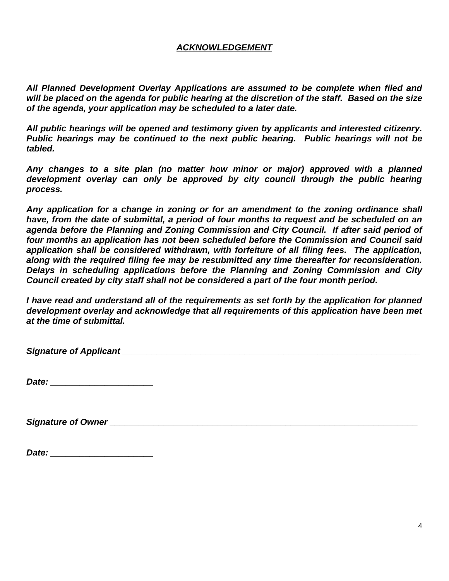#### *ACKNOWLEDGEMENT*

*All Planned Development Overlay Applications are assumed to be complete when filed and will be placed on the agenda for public hearing at the discretion of the staff. Based on the size of the agenda, your application may be scheduled to a later date.*

*All public hearings will be opened and testimony given by applicants and interested citizenry. Public hearings may be continued to the next public hearing. Public hearings will not be tabled.*

*Any changes to a site plan (no matter how minor or major) approved with a planned*  development overlay can only be approved by city council through the public hearing *process.*

*Any application for a change in zoning or for an amendment to the zoning ordinance shall have, from the date of submittal, a period of four months to request and be scheduled on an agenda before the Planning and Zoning Commission and City Council. If after said period of four months an application has not been scheduled before the Commission and Council said application shall be considered withdrawn, with forfeiture of all filing fees. The application, along with the required filing fee may be resubmitted any time thereafter for reconsideration. Delays in scheduling applications before the Planning and Zoning Commission and City Council created by city staff shall not be considered a part of the four month period.* 

*I have read and understand all of the requirements as set forth by the application for planned development overlay and acknowledge that all requirements of this application have been met at the time of submittal.*

*Signature of Applicant*  $\blacksquare$ 

*Date: \_\_\_\_\_\_\_\_\_\_\_\_\_\_\_\_\_\_\_\_\_*

*Signature of Owner \_\_\_\_\_\_\_\_\_\_\_\_\_\_\_\_\_\_\_\_\_\_\_\_\_\_\_\_\_\_\_\_\_\_\_\_\_\_\_\_\_\_\_\_\_\_\_\_\_\_\_\_\_\_\_\_\_\_\_\_\_\_\_*

| Date: |  |  |
|-------|--|--|
|       |  |  |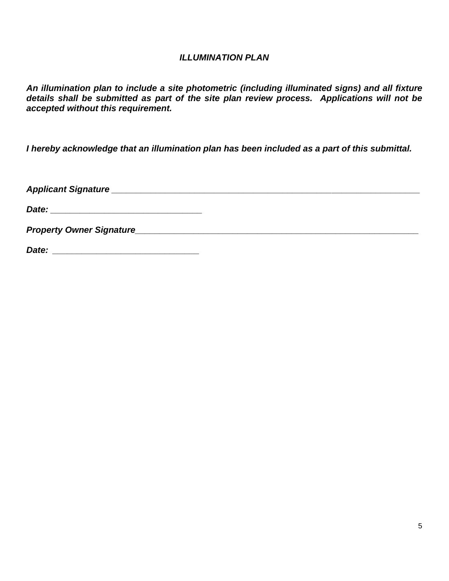#### *ILLUMINATION PLAN*

*An illumination plan to include a site photometric (including illuminated signs) and all fixture details shall be submitted as part of the site plan review process. Applications will not be accepted without this requirement.*

*I hereby acknowledge that an illumination plan has been included as a part of this submittal.*

*Applicant Signature \_\_\_\_\_\_\_\_\_\_\_\_\_\_\_\_\_\_\_\_\_\_\_\_\_\_\_\_\_\_\_\_\_\_\_\_\_\_\_\_\_\_\_\_\_\_\_\_\_\_\_\_\_\_\_\_\_\_\_\_\_\_\_*

*Date: \_\_\_\_\_\_\_\_\_\_\_\_\_\_\_\_\_\_\_\_\_\_\_\_\_\_\_\_\_\_\_*

*Property Owner Signature\_\_\_\_\_\_\_\_\_\_\_\_\_\_\_\_\_\_\_\_\_\_\_\_\_\_\_\_\_\_\_\_\_\_\_\_\_\_\_\_\_\_\_\_\_\_\_\_\_\_\_\_\_\_\_\_\_\_*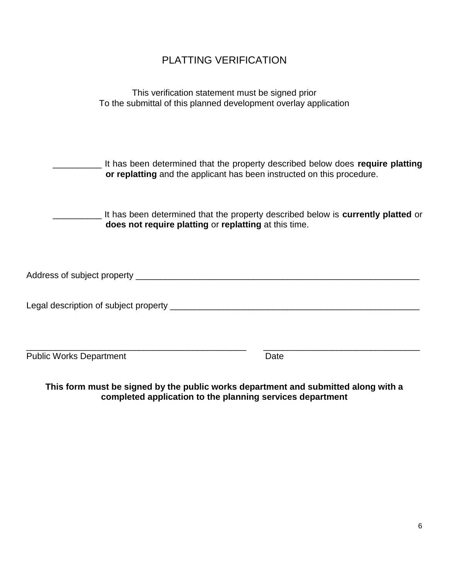# PLATTING VERIFICATION

| This verification statement must be signed prior                 |
|------------------------------------------------------------------|
| To the submittal of this planned development overlay application |

| It has been determined that the property described below does require platting<br>or replatting and the applicant has been instructed on this procedure. |  |
|----------------------------------------------------------------------------------------------------------------------------------------------------------|--|
|                                                                                                                                                          |  |

It has been determined that the property described below is **currently platted** or **does not require platting** or **replatting** at this time.

| Address of subject property |
|-----------------------------|
|-----------------------------|

Legal description of subject property \_\_\_\_\_\_\_\_\_\_\_\_\_\_\_\_\_\_\_\_\_\_\_\_\_\_\_\_\_\_\_\_\_\_\_\_\_\_\_\_\_\_\_\_\_\_\_\_\_\_\_

\_\_\_\_\_\_\_\_\_\_\_\_\_\_\_\_\_\_\_\_\_\_\_\_\_\_\_\_\_\_\_\_\_\_\_\_\_\_\_\_\_\_\_\_\_ \_\_\_\_\_\_\_\_\_\_\_\_\_\_\_\_\_\_\_\_\_\_\_\_\_\_\_\_\_\_\_\_

Public Works Department Date

**This form must be signed by the public works department and submitted along with a completed application to the planning services department**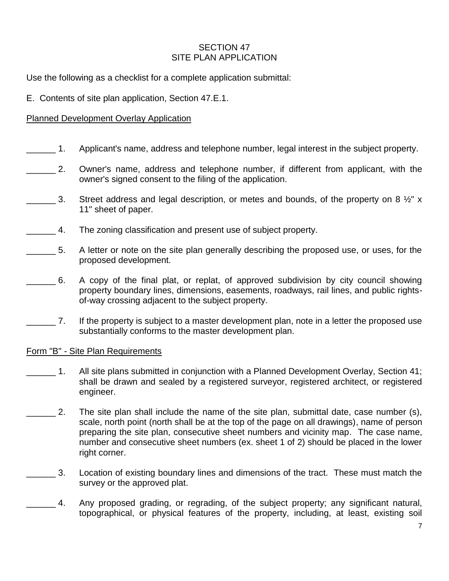#### SECTION 47 SITE PLAN APPLICATION

Use the following as a checklist for a complete application submittal:

E. Contents of site plan application, Section 47.E.1.

## Planned Development Overlay Application

- 1. Applicant's name, address and telephone number, legal interest in the subject property.
- \_\_\_\_\_\_ 2. Owner's name, address and telephone number, if different from applicant, with the owner's signed consent to the filing of the application.
- 3. Street address and legal description, or metes and bounds, of the property on 8  $\frac{1}{2}$ " x 11" sheet of paper.
- **1.** The zoning classification and present use of subject property.
- 5. A letter or note on the site plan generally describing the proposed use, or uses, for the proposed development.
- \_\_\_\_\_\_ 6. A copy of the final plat, or replat, of approved subdivision by city council showing property boundary lines, dimensions, easements, roadways, rail lines, and public rightsof-way crossing adjacent to the subject property.
	- \_\_\_\_\_\_ 7. If the property is subject to a master development plan, note in a letter the proposed use substantially conforms to the master development plan.

#### Form "B" - Site Plan Requirements

- \_\_\_\_\_\_ 1. All site plans submitted in conjunction with a Planned Development Overlay, Section 41; shall be drawn and sealed by a registered surveyor, registered architect, or registered engineer.
- 2. The site plan shall include the name of the site plan, submittal date, case number (s), scale, north point (north shall be at the top of the page on all drawings), name of person preparing the site plan, consecutive sheet numbers and vicinity map. The case name, number and consecutive sheet numbers (ex. sheet 1 of 2) should be placed in the lower right corner.
- \_\_\_\_\_\_ 3. Location of existing boundary lines and dimensions of the tract. These must match the survey or the approved plat.
	- 4. Any proposed grading, or regrading, of the subject property; any significant natural, topographical, or physical features of the property, including, at least, existing soil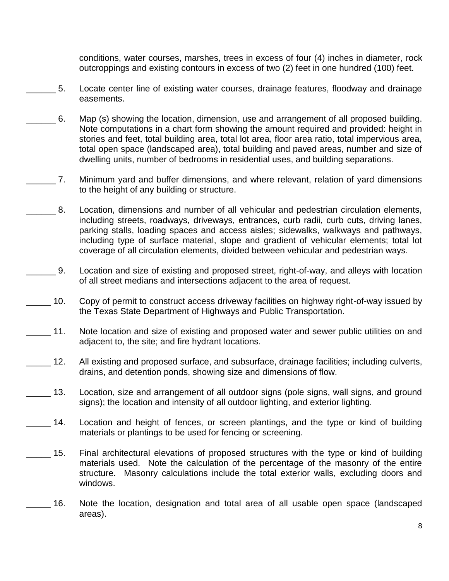conditions, water courses, marshes, trees in excess of four (4) inches in diameter, rock outcroppings and existing contours in excess of two (2) feet in one hundred (100) feet.

- \_\_\_\_\_\_ 5. Locate center line of existing water courses, drainage features, floodway and drainage easements.
- \_\_\_\_\_\_ 6. Map (s) showing the location, dimension, use and arrangement of all proposed building. Note computations in a chart form showing the amount required and provided: height in stories and feet, total building area, total lot area, floor area ratio, total impervious area, total open space (landscaped area), total building and paved areas, number and size of dwelling units, number of bedrooms in residential uses, and building separations.
- \_\_\_\_\_\_ 7. Minimum yard and buffer dimensions, and where relevant, relation of yard dimensions to the height of any building or structure.
	- 8. Location, dimensions and number of all vehicular and pedestrian circulation elements, including streets, roadways, driveways, entrances, curb radii, curb cuts, driving lanes, parking stalls, loading spaces and access aisles; sidewalks, walkways and pathways, including type of surface material, slope and gradient of vehicular elements; total lot coverage of all circulation elements, divided between vehicular and pedestrian ways.
- \_\_\_\_\_\_ 9. Location and size of existing and proposed street, right-of-way, and alleys with location of all street medians and intersections adjacent to the area of request.
- \_\_\_\_\_ 10. Copy of permit to construct access driveway facilities on highway right-of-way issued by the Texas State Department of Highways and Public Transportation.
- 11. Note location and size of existing and proposed water and sewer public utilities on and adjacent to, the site; and fire hydrant locations.
- \_\_\_\_\_ 12. All existing and proposed surface, and subsurface, drainage facilities; including culverts, drains, and detention ponds, showing size and dimensions of flow.
- 13. Location, size and arrangement of all outdoor signs (pole signs, wall signs, and ground signs); the location and intensity of all outdoor lighting, and exterior lighting.
- \_\_\_\_\_ 14. Location and height of fences, or screen plantings, and the type or kind of building materials or plantings to be used for fencing or screening.
- \_\_\_\_\_ 15. Final architectural elevations of proposed structures with the type or kind of building materials used. Note the calculation of the percentage of the masonry of the entire structure. Masonry calculations include the total exterior walls, excluding doors and windows.
- \_\_\_\_\_ 16. Note the location, designation and total area of all usable open space (landscaped areas).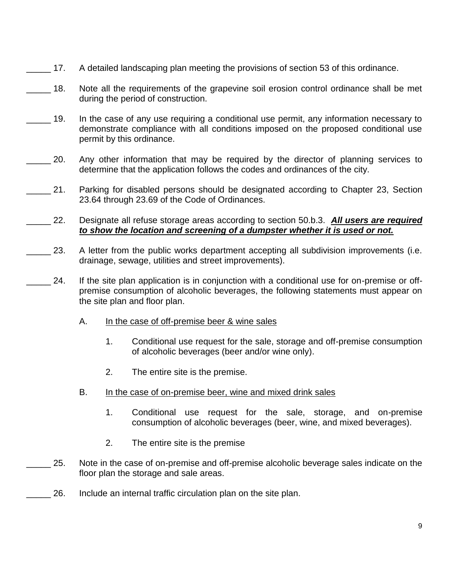- 17. A detailed landscaping plan meeting the provisions of section 53 of this ordinance.
- 18. Note all the requirements of the grapevine soil erosion control ordinance shall be met during the period of construction.
- \_\_\_\_\_ 19. In the case of any use requiring a conditional use permit, any information necessary to demonstrate compliance with all conditions imposed on the proposed conditional use permit by this ordinance.
- 20. Any other information that may be required by the director of planning services to determine that the application follows the codes and ordinances of the city.
- 21. Parking for disabled persons should be designated according to Chapter 23, Section 23.64 through 23.69 of the Code of Ordinances.
- \_\_\_\_\_ 22. Designate all refuse storage areas according to section 50.b.3. *All users are required to show the location and screening of a dumpster whether it is used or not.*
- 23. A letter from the public works department accepting all subdivision improvements (i.e. drainage, sewage, utilities and street improvements).
- 24. If the site plan application is in conjunction with a conditional use for on-premise or offpremise consumption of alcoholic beverages, the following statements must appear on the site plan and floor plan.
	- A. In the case of off-premise beer & wine sales
		- 1. Conditional use request for the sale, storage and off-premise consumption of alcoholic beverages (beer and/or wine only).
		- 2. The entire site is the premise.
	- B. In the case of on-premise beer, wine and mixed drink sales
		- 1. Conditional use request for the sale, storage, and on-premise consumption of alcoholic beverages (beer, wine, and mixed beverages).
		- 2. The entire site is the premise
- 25. Note in the case of on-premise and off-premise alcoholic beverage sales indicate on the floor plan the storage and sale areas.
	- 26. Include an internal traffic circulation plan on the site plan.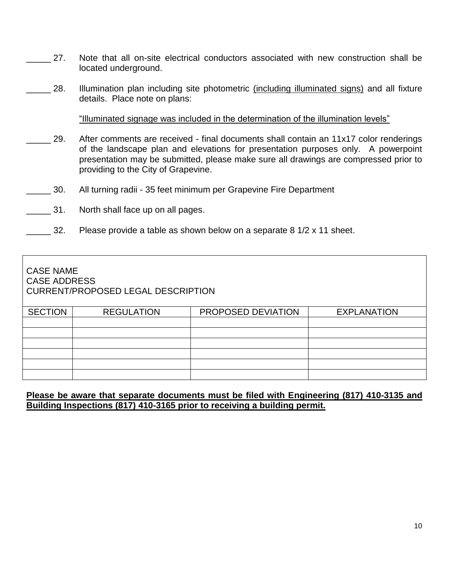- 27. Note that all on-site electrical conductors associated with new construction shall be located underground.
- 28. Illumination plan including site photometric (including illuminated signs) and all fixture details. Place note on plans:

"Illuminated signage was included in the determination of the illumination levels"

- 29. After comments are received final documents shall contain an 11x17 color renderings of the landscape plan and elevations for presentation purposes only. A powerpoint presentation may be submitted, please make sure all drawings are compressed prior to providing to the City of Grapevine.
- \_\_\_\_\_ 30. All turning radii 35 feet minimum per Grapevine Fire Department
- 31. North shall face up on all pages.
- 32. Please provide a table as shown below on a separate 8  $1/2 \times 11$  sheet.

| <b>CASE NAME</b><br><b>CASE ADDRESS</b> | CURRENT/PROPOSED LEGAL DESCRIPTION |                    |                    |
|-----------------------------------------|------------------------------------|--------------------|--------------------|
| <b>SECTION</b>                          | <b>REGULATION</b>                  | PROPOSED DEVIATION | <b>EXPLANATION</b> |
|                                         |                                    |                    |                    |
|                                         |                                    |                    |                    |
|                                         |                                    |                    |                    |
|                                         |                                    |                    |                    |
|                                         |                                    |                    |                    |
|                                         |                                    |                    |                    |

#### **Please be aware that separate documents must be filed with Engineering (817) 410-3135 and Building Inspections (817) 410-3165 prior to receiving a building permit.**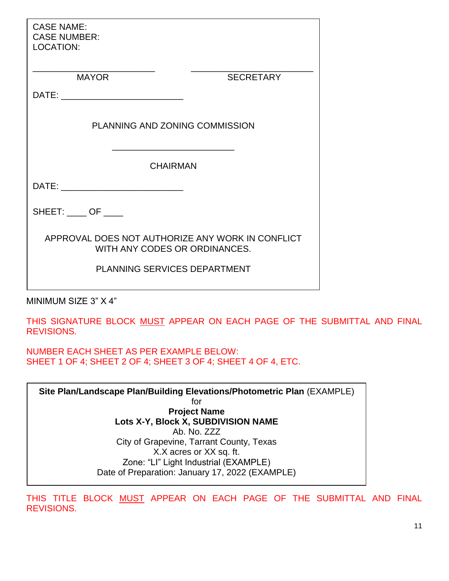| <b>CASE NAME:</b><br><b>CASE NUMBER:</b><br><b>LOCATION:</b>                                                   |  |
|----------------------------------------------------------------------------------------------------------------|--|
| MAYOR<br><b>SECRETARY</b>                                                                                      |  |
|                                                                                                                |  |
|                                                                                                                |  |
| <b>PLANNING AND ZONING COMMISSION</b>                                                                          |  |
| <b>CHAIRMAN</b>                                                                                                |  |
|                                                                                                                |  |
| $SHEET:$ OF ____                                                                                               |  |
| APPROVAL DOES NOT AUTHORIZE ANY WORK IN CONFLICT<br>WITH ANY CODES OR ORDINANCES.                              |  |
| <b>PLANNING SERVICES DEPARTMENT</b>                                                                            |  |
| MINIMUM SIZE 3" X 4"                                                                                           |  |
| THIS SIGNATURE BLOCK MUST APPEAR ON EACH PAGE OF THE SUBMITTAL AND FINAL<br><b>REVISIONS.</b>                  |  |
| <b>NUMBER EACH SHEET AS PER EXAMPLE BELOW:</b><br>SHEET 1 OF 4; SHEET 2 OF 4; SHEET 3 OF 4; SHEET 4 OF 4, ETC. |  |
| Site Plan/Landscape Plan/Building Elevations/Photometric Plan (EXAMPLE)                                        |  |
| for                                                                                                            |  |
| <b>Project Name</b><br>Lots X-Y, Block X, SUBDIVISION NAME                                                     |  |
| Ab. No. ZZZ                                                                                                    |  |
| City of Grapevine, Tarrant County, Texas                                                                       |  |
| X.X acres or XX sq. ft.<br>Zone: "LI" Light Industrial (EXAMPLE)                                               |  |
| Date of Preparation: January 17, 2022 (EXAMPLE)                                                                |  |
|                                                                                                                |  |

THIS TITLE BLOCK MUST APPEAR ON EACH PAGE OF THE SUBMITTAL AND FINAL REVISIONS.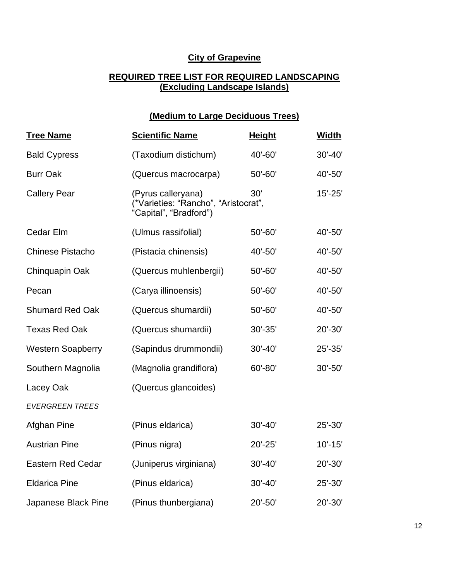## **City of Grapevine**

#### **REQUIRED TREE LIST FOR REQUIRED LANDSCAPING (Excluding Landscape Islands)**

# **(Medium to Large Deciduous Trees)**

| <b>Tree Name</b>         | <b>Scientific Name</b>                                                               | <b>Height</b> | <b>Width</b> |
|--------------------------|--------------------------------------------------------------------------------------|---------------|--------------|
| <b>Bald Cypress</b>      | (Taxodium distichum)                                                                 | 40'-60'       | 30'-40'      |
| <b>Burr Oak</b>          | (Quercus macrocarpa)                                                                 | 50'-60'       | 40'-50'      |
| <b>Callery Pear</b>      | (Pyrus calleryana)<br>(*Varieties: "Rancho", "Aristocrat",<br>"Capital", "Bradford") | 30'           | $15' - 25'$  |
| Cedar Elm                | (Ulmus rassifolial)                                                                  | 50'-60'       | 40'-50'      |
| <b>Chinese Pistacho</b>  | (Pistacia chinensis)                                                                 | 40'-50'       | 40'-50'      |
| Chinquapin Oak           | (Quercus muhlenbergii)                                                               | 50'-60'       | 40'-50'      |
| Pecan                    | (Carya illinoensis)                                                                  | 50'-60'       | 40'-50'      |
| <b>Shumard Red Oak</b>   | (Quercus shumardii)                                                                  | 50'-60'       | 40'-50'      |
| <b>Texas Red Oak</b>     | (Quercus shumardii)                                                                  | 30'-35'       | 20'-30'      |
| <b>Western Soapberry</b> | (Sapindus drummondii)                                                                | $30' - 40'$   | 25'-35'      |
| Southern Magnolia        | (Magnolia grandiflora)                                                               | 60'-80'       | 30'-50'      |
| Lacey Oak                | (Quercus glancoides)                                                                 |               |              |
| <b>EVERGREEN TREES</b>   |                                                                                      |               |              |
| Afghan Pine              | (Pinus eldarica)                                                                     | $30' - 40'$   | 25'-30'      |
| <b>Austrian Pine</b>     | (Pinus nigra)                                                                        | $20' - 25'$   | $10' - 15'$  |
| <b>Eastern Red Cedar</b> | (Juniperus virginiana)                                                               | $30' - 40'$   | 20'-30'      |
| <b>Eldarica Pine</b>     | (Pinus eldarica)                                                                     | 30'-40'       | 25'-30'      |
| Japanese Black Pine      | (Pinus thunbergiana)                                                                 | 20'-50'       | 20'-30'      |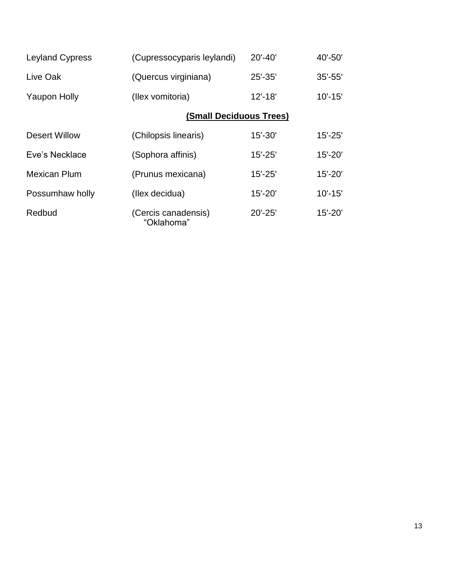| <b>Leyland Cypress</b> | (Cupressocyparis leylandi)        | $20' - 40'$ | 40'-50'     |
|------------------------|-----------------------------------|-------------|-------------|
| Live Oak               | (Quercus virginiana)              | $25' - 35'$ | $35' - 55'$ |
| <b>Yaupon Holly</b>    | (Ilex vomitoria)                  | $12' - 18'$ | $10' - 15'$ |
|                        | <b>(Small Deciduous Trees)</b>    |             |             |
| Desert Willow          | (Chilopsis linearis)              | $15' - 30'$ | $15' - 25'$ |
| Eve's Necklace         | (Sophora affinis)                 | $15' - 25'$ | $15' - 20'$ |
| <b>Mexican Plum</b>    | (Prunus mexicana)                 | $15' - 25'$ | $15' - 20'$ |
| Possumhaw holly        | (Ilex decidua)                    | $15' - 20'$ | $10' - 15'$ |
| Redbud                 | (Cercis canadensis)<br>"Oklahoma" | $20' - 25'$ | $15' - 20'$ |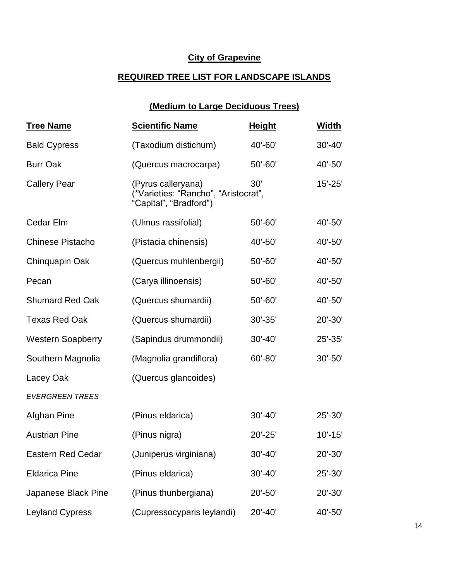## **City of Grapevine**

# **REQUIRED TREE LIST FOR LANDSCAPE ISLANDS**

# **(Medium to Large Deciduous Trees)**

| <b>Tree Name</b>         | <b>Scientific Name</b>                                                               | <b>Height</b> | Width       |
|--------------------------|--------------------------------------------------------------------------------------|---------------|-------------|
| <b>Bald Cypress</b>      | (Taxodium distichum)                                                                 | 40'-60'       | $30' - 40'$ |
| <b>Burr Oak</b>          | (Quercus macrocarpa)                                                                 | $50' - 60'$   | 40'-50'     |
| <b>Callery Pear</b>      | (Pyrus calleryana)<br>(*Varieties: "Rancho", "Aristocrat",<br>"Capital", "Bradford") | 30'           | $15' - 25'$ |
| Cedar Elm                | (Ulmus rassifolial)                                                                  | $50' - 60'$   | 40'-50'     |
| <b>Chinese Pistacho</b>  | (Pistacia chinensis)                                                                 | 40'-50'       | 40'-50'     |
| Chinquapin Oak           | (Quercus muhlenbergii)                                                               | $50' - 60'$   | 40'-50'     |
| Pecan                    | (Carya illinoensis)                                                                  | 50'-60'       | 40'-50'     |
| <b>Shumard Red Oak</b>   | (Quercus shumardii)                                                                  | 50'-60'       | 40'-50'     |
| <b>Texas Red Oak</b>     | (Quercus shumardii)                                                                  | $30' - 35'$   | $20' - 30'$ |
| <b>Western Soapberry</b> | (Sapindus drummondii)                                                                | $30' - 40'$   | 25'-35'     |
| Southern Magnolia        | (Magnolia grandiflora)                                                               | 60'-80'       | $30' - 50'$ |
| Lacey Oak                | (Quercus glancoides)                                                                 |               |             |
| <b>EVERGREEN TREES</b>   |                                                                                      |               |             |
| Afghan Pine              | (Pinus eldarica)                                                                     | $30' - 40'$   | 25'-30'     |
| <b>Austrian Pine</b>     | (Pinus nigra)                                                                        | 20'-25'       | $10' - 15'$ |
| <b>Eastern Red Cedar</b> | (Juniperus virginiana)                                                               | $30' - 40'$   | 20'-30'     |
| <b>Eldarica Pine</b>     | (Pinus eldarica)                                                                     | $30' - 40'$   | 25'-30'     |
| Japanese Black Pine      | (Pinus thunbergiana)                                                                 | 20'-50'       | 20'-30'     |
| <b>Leyland Cypress</b>   | (Cupressocyparis leylandi)                                                           | 20'-40'       | 40'-50'     |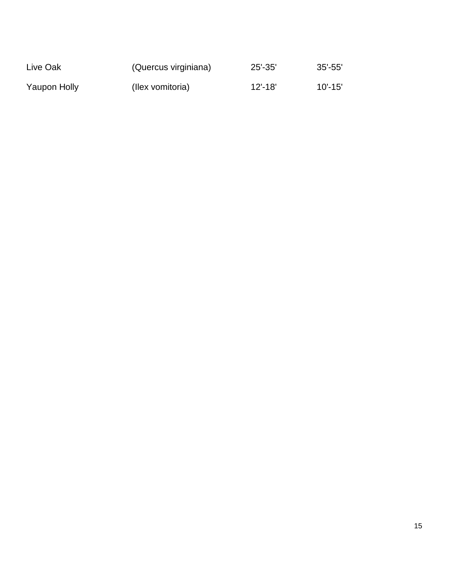| Live Oak     | (Quercus virginiana) | $25' - 35'$ | $35'$ -55'  |
|--------------|----------------------|-------------|-------------|
| Yaupon Holly | (Ilex vomitoria)     | $12' - 18'$ | $10' - 15'$ |